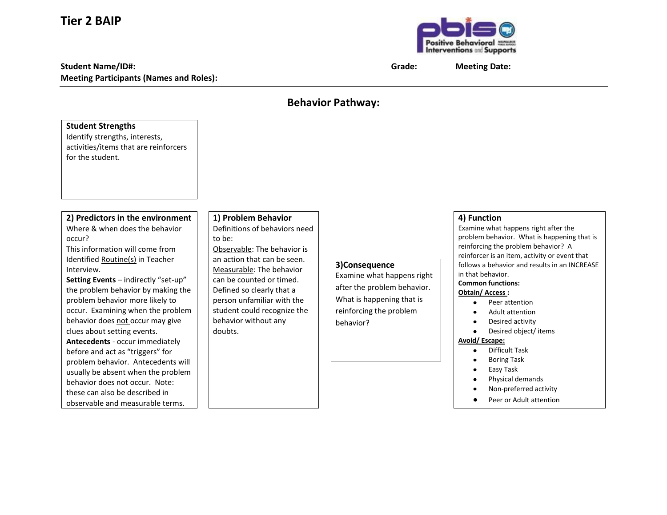## **Tier 2 BAIP**

## **Student Name/ID#: Grade: Meeting Date: Meeting Participants (Names and Roles):**



## **Behavior Pathway:**

| <b>Student Strengths</b><br>Identify strengths, interests,<br>activities/items that are reinforcers<br>for the student.                                                                                                                                                                                                                                                                                                                                                                                                                                                                                                                               |                                                                                                                                                                                                                                                                                                                   |                                                                                                                                                 |                                                                                                                                                                                                                                                                                                                                                                                                                                                                                                                                                                                        |
|-------------------------------------------------------------------------------------------------------------------------------------------------------------------------------------------------------------------------------------------------------------------------------------------------------------------------------------------------------------------------------------------------------------------------------------------------------------------------------------------------------------------------------------------------------------------------------------------------------------------------------------------------------|-------------------------------------------------------------------------------------------------------------------------------------------------------------------------------------------------------------------------------------------------------------------------------------------------------------------|-------------------------------------------------------------------------------------------------------------------------------------------------|----------------------------------------------------------------------------------------------------------------------------------------------------------------------------------------------------------------------------------------------------------------------------------------------------------------------------------------------------------------------------------------------------------------------------------------------------------------------------------------------------------------------------------------------------------------------------------------|
| 2) Predictors in the environment<br>Where & when does the behavior<br>occur?<br>This information will come from<br>Identified Routine(s) in Teacher<br>Interview.<br>Setting Events - indirectly "set-up"<br>the problem behavior by making the<br>problem behavior more likely to<br>occur. Examining when the problem<br>behavior does not occur may give<br>clues about setting events.<br>Antecedents - occur immediately<br>before and act as "triggers" for<br>problem behavior. Antecedents will<br>usually be absent when the problem<br>behavior does not occur. Note:<br>these can also be described in<br>observable and measurable terms. | 1) Problem Behavior<br>Definitions of behaviors need<br>to be:<br>Observable: The behavior is<br>an action that can be seen.<br>Measurable: The behavior<br>can be counted or timed.<br>Defined so clearly that a<br>person unfamiliar with the<br>student could recognize the<br>behavior without any<br>doubts. | 3)Consequence<br>Examine what happens right<br>after the problem behavior.<br>What is happening that is<br>reinforcing the problem<br>behavior? | 4) Function<br>Examine what happens right after the<br>problem behavior. What is happening that is<br>reinforcing the problem behavior? A<br>reinforcer is an item, activity or event that<br>follows a behavior and results in an INCREASE<br>in that behavior.<br><b>Common functions:</b><br>Obtain/Access:<br>Peer attention<br>Adult attention<br>Desired activity<br>$\bullet$<br>Desired object/ items<br>Avoid/Escape:<br>Difficult Task<br>$\bullet$<br><b>Boring Task</b><br>$\bullet$<br>Easy Task<br>Physical demands<br>Non-preferred activity<br>Peer or Adult attention |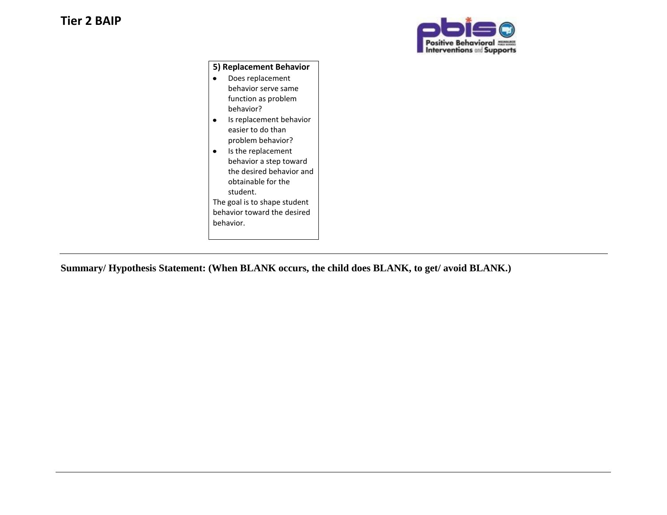

## **5) Replacement Behavior**

- $\bullet$ Does replacement behavior serve same function as problem behavior?
- Is replacement behavior easier to do than problem behavior?
- Is the replacement behavior a step toward the desired behavior and obtainable for the student. The goal is to shape student behavior toward the desired behavior.

**Summary/ Hypothesis Statement: (When BLANK occurs, the child does BLANK, to get/ avoid BLANK.)**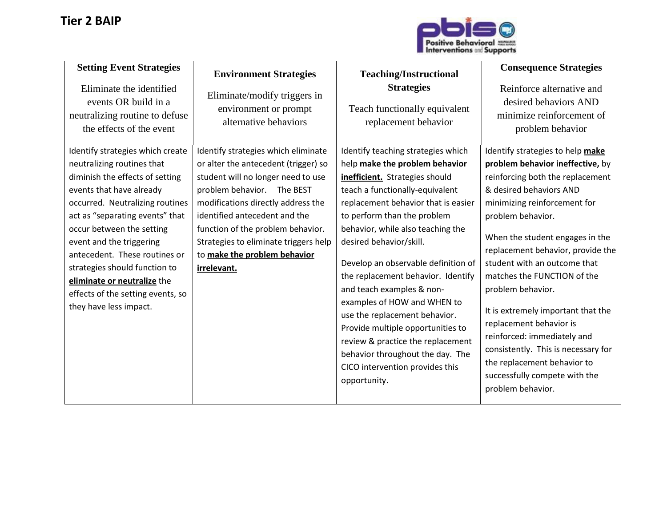

| <b>Setting Event Strategies</b><br>Eliminate the identified<br>events OR build in a<br>neutralizing routine to defuse<br>the effects of the event                                                                                                                                                                                                                                                                            | <b>Environment Strategies</b><br>Eliminate/modify triggers in<br>environment or prompt<br>alternative behaviors                                                                                                                                                                                                                                        | <b>Teaching/Instructional</b><br><b>Strategies</b><br>Teach functionally equivalent<br>replacement behavior                                                                                                                                                                                                                                                                                                                                                                                                                                                                                                                | <b>Consequence Strategies</b><br>Reinforce alternative and<br>desired behaviors AND<br>minimize reinforcement of<br>problem behavior                                                                                                                                                                                                                                                                                                                                                                                                                                             |
|------------------------------------------------------------------------------------------------------------------------------------------------------------------------------------------------------------------------------------------------------------------------------------------------------------------------------------------------------------------------------------------------------------------------------|--------------------------------------------------------------------------------------------------------------------------------------------------------------------------------------------------------------------------------------------------------------------------------------------------------------------------------------------------------|----------------------------------------------------------------------------------------------------------------------------------------------------------------------------------------------------------------------------------------------------------------------------------------------------------------------------------------------------------------------------------------------------------------------------------------------------------------------------------------------------------------------------------------------------------------------------------------------------------------------------|----------------------------------------------------------------------------------------------------------------------------------------------------------------------------------------------------------------------------------------------------------------------------------------------------------------------------------------------------------------------------------------------------------------------------------------------------------------------------------------------------------------------------------------------------------------------------------|
| Identify strategies which create<br>neutralizing routines that<br>diminish the effects of setting<br>events that have already<br>occurred. Neutralizing routines<br>act as "separating events" that<br>occur between the setting<br>event and the triggering<br>antecedent. These routines or<br>strategies should function to<br>eliminate or neutralize the<br>effects of the setting events, so<br>they have less impact. | Identify strategies which eliminate<br>or alter the antecedent (trigger) so<br>student will no longer need to use<br>problem behavior.<br>The BEST<br>modifications directly address the<br>identified antecedent and the<br>function of the problem behavior.<br>Strategies to eliminate triggers help<br>to make the problem behavior<br>irrelevant. | Identify teaching strategies which<br>help make the problem behavior<br>inefficient. Strategies should<br>teach a functionally-equivalent<br>replacement behavior that is easier<br>to perform than the problem<br>behavior, while also teaching the<br>desired behavior/skill.<br>Develop an observable definition of<br>the replacement behavior. Identify<br>and teach examples & non-<br>examples of HOW and WHEN to<br>use the replacement behavior.<br>Provide multiple opportunities to<br>review & practice the replacement<br>behavior throughout the day. The<br>CICO intervention provides this<br>opportunity. | Identify strategies to help make<br>problem behavior ineffective, by<br>reinforcing both the replacement<br>& desired behaviors AND<br>minimizing reinforcement for<br>problem behavior.<br>When the student engages in the<br>replacement behavior, provide the<br>student with an outcome that<br>matches the FUNCTION of the<br>problem behavior.<br>It is extremely important that the<br>replacement behavior is<br>reinforced: immediately and<br>consistently. This is necessary for<br>the replacement behavior to<br>successfully compete with the<br>problem behavior. |